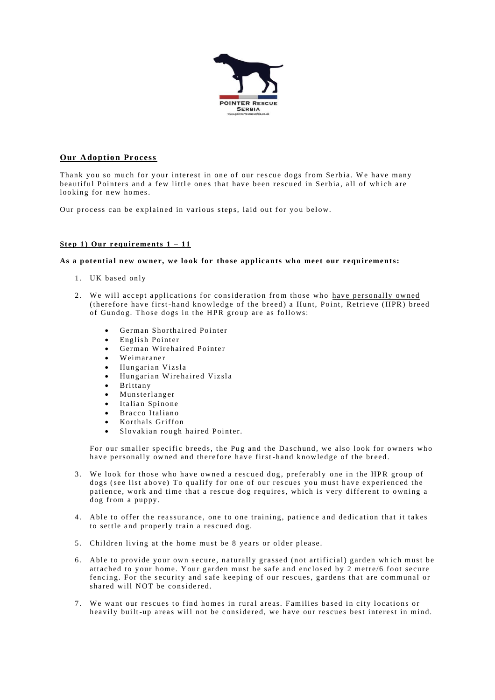

# **Our Adoption Process**

Thank you so much for your interest in one of our rescue dogs from Serbia. We have many beautiful Pointers and a few little ones that have been rescued in Serbia, all of which are looking for new homes.

Our process can be explained in various steps, laid out for you below.

## Step 1) Our requirements  $1 - 11$

#### As a potential new owner, we look for those applicants who meet our requirements:

- 1. UK based only
- 2. We will accept applications for consideration from those who have personally owned (therefore have first-hand knowledge of the breed) a Hunt, Point, Retrieve (HPR) breed of Gundog. Those dogs in the HPR group are as follows:
	- German Shorthaired Pointer
	- English Pointer  $\bullet$
	- German Wirehaired Pointer
	- Weimaraner
	- Hungarian Vizsla
	- Hungarian Wirehaired Vizsla
	- Brittany
	- Munsterlanger
	- Italian Spinone
	- Bracco Italiano
	- Korthals Griffon
	- Slovakian rough haired Pointer.

For our smaller specific breeds, the Pug and the Daschund, we also look for owners who have personally owned and therefore have first-hand knowledge of the breed.

- 3. We look for those who have owned a rescued dog, preferably one in the HPR group of dogs (see list above) To qualify for one of our rescues you must have experienced the patience, work and time that a rescue dog requires, which is very different to owning a dog from a puppy.
- 4. Able to offer the reassurance, one to one training, patience and dedication that it takes to settle and properly train a rescued dog.
- 5. Children living at the home must be 8 years or older please.
- 6. Able to provide your own secure, naturally grassed (not artificial) garden which must be attached to your home. Your garden must be safe and enclosed by 2 metre/6 foot secure fencing. For the security and safe keeping of our rescues, gardens that are communal or shared will NOT be considered.
- 7. We want our rescues to find homes in rural areas. Families based in city locations or heavily built-up areas will not be considered, we have our rescues best interest in mind.